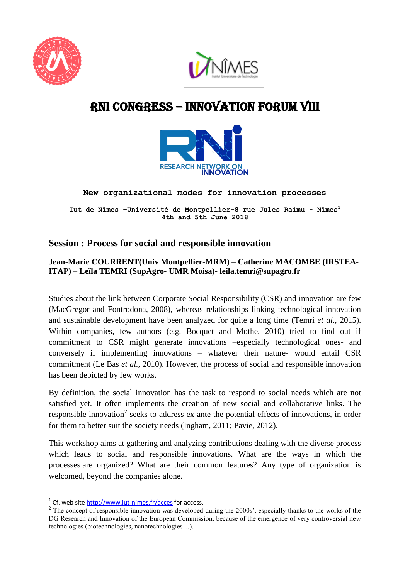



# RNI cONGRESS – innovation Forum VIII



**New organizational modes for innovation processes** 

**Iut de Nîmes –Université de Montpellier-8 rue Jules Raimu - Nîmes<sup>1</sup> 4th and 5th June 2018**

# **Session : Process for social and responsible innovation**

### **Jean-Marie COURRENT(Univ Montpellier-MRM) – Catherine MACOMBE (IRSTEA-ITAP) – Leïla TEMRI (SupAgro- UMR Moisa)- leila.temri@supagro.fr**

Studies about the link between Corporate Social Responsibility (CSR) and innovation are few (MacGregor and Fontrodona, 2008), whereas relationships linking technological innovation and sustainable development have been analyzed for quite a long time (Temri *et al.,* 2015). Within companies, few authors (e.g. Bocquet and Mothe, 2010) tried to find out if commitment to CSR might generate innovations –especially technological ones- and conversely if implementing innovations – whatever their nature- would entail CSR commitment (Le Bas *et al.,* 2010). However, the process of social and responsible innovation has been depicted by few works.

By definition, the social innovation has the task to respond to social needs which are not satisfied yet. It often implements the creation of new social and collaborative links. The responsible innovation<sup>2</sup> seeks to address ex ante the potential effects of innovations, in order for them to better suit the society needs (Ingham, 2011; Pavie, 2012).

This workshop aims at gathering and analyzing contributions dealing with the diverse process which leads to social and responsible innovations. What are the ways in which the processes are organized? What are their common features? Any type of organization is welcomed, beyond the companies alone.

**.** 

<sup>&</sup>lt;sup>1</sup> Cf. web site<http://www.iut-nimes.fr/acces> for access.

<sup>&</sup>lt;sup>2</sup> The concept of responsible innovation was developed during the 2000s', especially thanks to the works of the DG Research and Innovation of the European Commission, because of the emergence of very controversial new technologies (biotechnologies, nanotechnologies…).